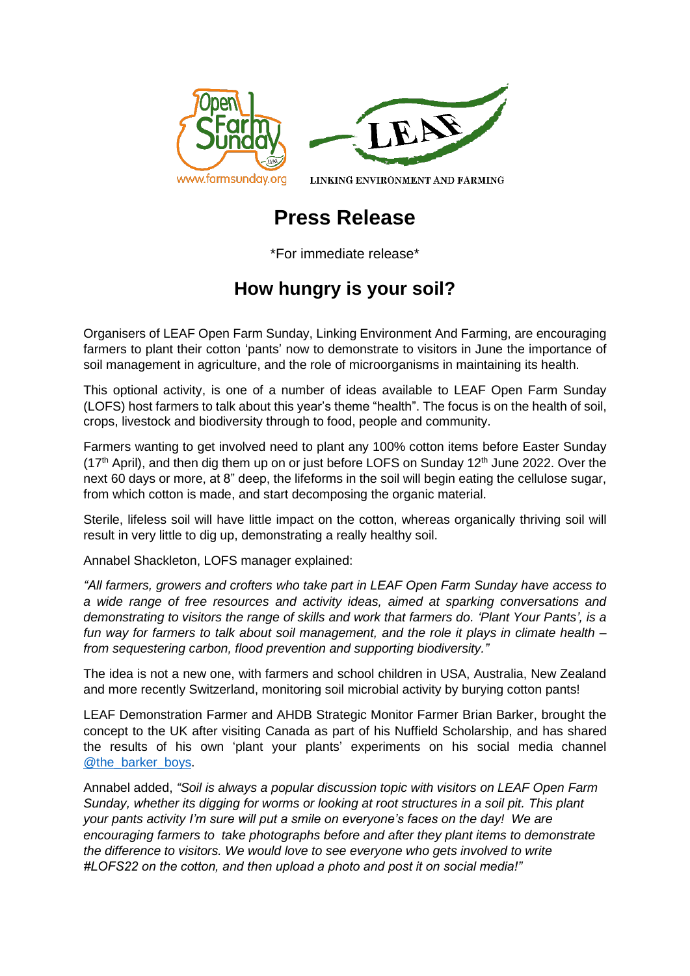



LINKING ENVIRONMENT AND FARMING

## **Press Release**

\*For immediate release\*

## **How hungry is your soil?**

Organisers of LEAF Open Farm Sunday, Linking Environment And Farming, are encouraging farmers to plant their cotton 'pants' now to demonstrate to visitors in June the importance of soil management in agriculture, and the role of microorganisms in maintaining its health.

This optional activity, is one of a number of ideas available to LEAF Open Farm Sunday (LOFS) host farmers to talk about this year's theme "health". The focus is on the health of soil, crops, livestock and biodiversity through to food, people and community.

Farmers wanting to get involved need to plant any 100% cotton items before Easter Sunday  $(17<sup>th</sup>$  April), and then dig them up on or just before LOFS on Sunday 12<sup>th</sup> June 2022. Over the next 60 days or more, at 8" deep, the lifeforms in the soil will begin eating the cellulose sugar, from which cotton is made, and start decomposing the organic material.

Sterile, lifeless soil will have little impact on the cotton, whereas organically thriving soil will result in very little to dig up, demonstrating a really healthy soil.

Annabel Shackleton, LOFS manager explained:

*"All farmers, growers and crofters who take part in LEAF Open Farm Sunday have access to a wide range of free resources and activity ideas, aimed at sparking conversations and demonstrating to visitors the range of skills and work that farmers do. 'Plant Your Pants', is a fun way for farmers to talk about soil management, and the role it plays in climate health – from sequestering carbon, flood prevention and supporting biodiversity."*

The idea is not a new one, with farmers and school children in USA, Australia, New Zealand and more recently Switzerland, monitoring soil microbial activity by burying cotton pants!

LEAF Demonstration Farmer and AHDB Strategic Monitor Farmer Brian Barker, brought the concept to the UK after visiting Canada as part of his Nuffield Scholarship, and has shared the results of his own 'plant your plants' experiments on his social media channel [@the\\_barker\\_boys.](http://www.twitter.com/the_barker_boys)

Annabel added, *"Soil is always a popular discussion topic with visitors on LEAF Open Farm Sunday, whether its digging for worms or looking at root structures in a soil pit. This plant your pants activity I'm sure will put a smile on everyone's faces on the day! We are encouraging farmers to take photographs before and after they plant items to demonstrate the difference to visitors. We would love to see everyone who gets involved to write #LOFS22 on the cotton, and then upload a photo and post it on social media!"*